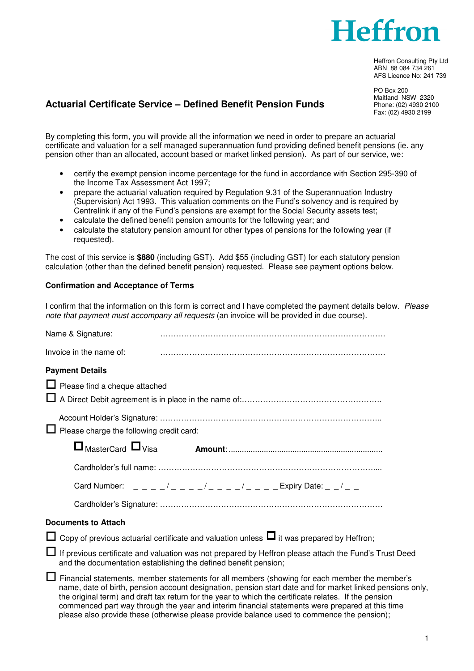

Heffron Consulting Pty Ltd ABN 88 084 734 261 AFS Licence No: 241 739

PO Box 200 Maitland NSW 2320 Phone: (02) 4930 2100 Fax: (02) 4930 2199

## **Actuarial Certificate Service – Defined Benefit Pension Funds**

By completing this form, you will provide all the information we need in order to prepare an actuarial certificate and valuation for a self managed superannuation fund providing defined benefit pensions (ie. any pension other than an allocated, account based or market linked pension). As part of our service, we:

- certify the exempt pension income percentage for the fund in accordance with Section 295-390 of the Income Tax Assessment Act 1997;
- prepare the actuarial valuation required by Regulation 9.31 of the Superannuation Industry (Supervision) Act 1993. This valuation comments on the Fund's solvency and is required by Centrelink if any of the Fund's pensions are exempt for the Social Security assets test;
- calculate the defined benefit pension amounts for the following year; and
- calculate the statutory pension amount for other types of pensions for the following year (if requested).

The cost of this service is **\$880** (including GST). Add \$55 (including GST) for each statutory pension calculation (other than the defined benefit pension) requested. Please see payment options below.

## **Confirmation and Acceptance of Terms**

I confirm that the information on this form is correct and I have completed the payment details below. Please note that payment must accompany all requests (an invoice will be provided in due course).

| Name & Signature:                                                                                                                                                                                                                                                                                                                                                                                                      |  |  |
|------------------------------------------------------------------------------------------------------------------------------------------------------------------------------------------------------------------------------------------------------------------------------------------------------------------------------------------------------------------------------------------------------------------------|--|--|
| Invoice in the name of:                                                                                                                                                                                                                                                                                                                                                                                                |  |  |
| <b>Payment Details</b>                                                                                                                                                                                                                                                                                                                                                                                                 |  |  |
| $\Box$ Please find a cheque attached                                                                                                                                                                                                                                                                                                                                                                                   |  |  |
| Please charge the following credit card:                                                                                                                                                                                                                                                                                                                                                                               |  |  |
| $\Box$ MasterCard $\Box$ Visa                                                                                                                                                                                                                                                                                                                                                                                          |  |  |
|                                                                                                                                                                                                                                                                                                                                                                                                                        |  |  |
| Card Number: $\frac{1}{2} - \frac{1}{2} - \frac{1}{2} - \frac{1}{2} - \frac{1}{2} - \frac{1}{2} - \frac{1}{2}$ Expiry Date: $\frac{1}{2} - \frac{1}{2} - \frac{1}{2}$                                                                                                                                                                                                                                                  |  |  |
|                                                                                                                                                                                                                                                                                                                                                                                                                        |  |  |
| <b>Documents to Attach</b>                                                                                                                                                                                                                                                                                                                                                                                             |  |  |
| Copy of previous actuarial certificate and valuation unless $\Box$ it was prepared by Heffron;                                                                                                                                                                                                                                                                                                                         |  |  |
| If previous certificate and valuation was not prepared by Heffron please attach the Fund's Trust Deed<br>and the documentation establishing the defined benefit pension;                                                                                                                                                                                                                                               |  |  |
| Financial statements, member statements for all members (showing for each member the member's<br>name, date of birth, pension account designation, pension start date and for market linked pensions only,<br>the original term) and draft tax return for the year to which the certificate relates. If the pension<br>commenced part way through the year and interim financial statements were prepared at this time |  |  |

please also provide these (otherwise please provide balance used to commence the pension);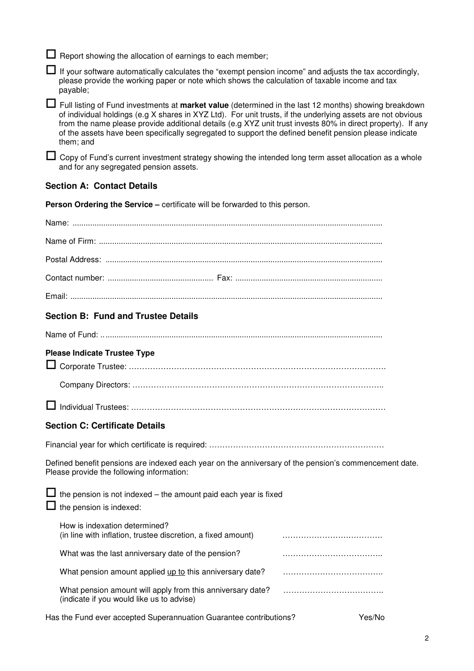$\Box$  Report showing the allocation of earnings to each member;

 $\Box$  If vour software automatically calculates the "exempt pension income" and adjusts the tax accordingly, please provide the working paper or note which shows the calculation of taxable income and tax payable;

 Full listing of Fund investments at **market value** (determined in the last 12 months) showing breakdown of individual holdings (e.g X shares in XYZ Ltd). For unit trusts, if the underlying assets are not obvious from the name please provide additional details (e.g XYZ unit trust invests 80% in direct property). If any of the assets have been specifically segregated to support the defined benefit pension please indicate them; and

 $\Box$  Copy of Fund's current investment strategy showing the intended long term asset allocation as a whole and for any segregated pension assets.

## **Section A: Contact Details**

**Person Ordering the Service – certificate will be forwarded to this person.** 

| <b>Section B: Fund and Trustee Details</b>                                                                                                         |  |  |
|----------------------------------------------------------------------------------------------------------------------------------------------------|--|--|
|                                                                                                                                                    |  |  |
| <b>Please Indicate Trustee Type</b>                                                                                                                |  |  |
|                                                                                                                                                    |  |  |
|                                                                                                                                                    |  |  |
| <b>Section C: Certificate Details</b>                                                                                                              |  |  |
|                                                                                                                                                    |  |  |
| Defined benefit pensions are indexed each year on the anniversary of the pension's commencement date.<br>Please provide the following information: |  |  |
| $\Box$ the pension is not indexed – the amount paid each year is fixed<br>the pension is indexed:                                                  |  |  |
| How is indexation determined?<br>(in line with inflation, trustee discretion, a fixed amount)                                                      |  |  |
| What was the last anniversary date of the pension?                                                                                                 |  |  |
| What pension amount applied up to this anniversary date?                                                                                           |  |  |
| What pension amount will apply from this anniversary date?<br>(indicate if you would like us to advise)                                            |  |  |
| Has the Fund ever accepted Superannuation Guarantee contributions?<br>Yes/No                                                                       |  |  |